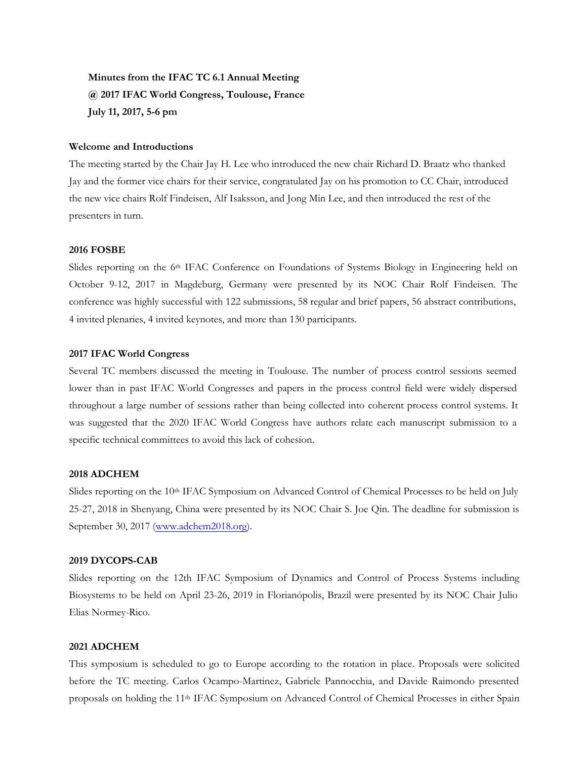**Minutes from the IFAC TC 6.1 Annual Meeting @ 2017 IFAC World Congress, Toulouse, France July 11, 2017, 5-6 pm**

#### **Welcome and Introductions**

The meeting started by the Chair Jay H. Lee who introduced the new chair Richard D. Braatz who thanked Jay and the former vice chairs for their service, congratulated Jay on his promotion to CC Chair, introduced the new vice chairs Rolf Findeisen, Alf Isaksson, and Jong Min Lee, and then introduced the rest of the presenters in turn.

## **2016 FOSBE**

Slides reporting on the 6<sup>th</sup> IFAC Conference on Foundations of Systems Biology in Engineering held on October 9-12, 2017 in Magdeburg, Germany were presented by its NOC Chair Rolf Findeisen. The conference was highly successful with 122 submissions, 58 regular and brief papers, 56 abstract contributions, 4 invited plenaries, 4 invited keynotes, and more than 130 participants.

## **2017 IFAC World Congress**

Several TC members discussed the meeting in Toulouse. The number of process control sessions seemed lower than in past IFAC World Congresses and papers in the process control field were widely dispersed throughout a large number of sessions rather than being collected into coherent process control systems. It was suggested that the 2020 IFAC World Congress have authors relate each manuscript submission to a specific technical committees to avoid this lack of cohesion.

### **2018 ADCHEM**

Slides reporting on the 10<sup>th</sup> IFAC Symposium on Advanced Control of Chemical Processes to be held on July 25-27, 2018 in Shenyang, China were presented by its NOC Chair S. Joe Qin. The deadline for submission is September 30, 2017 [\(www.adchem2018.org\).](http://www.adchem2018.org/)

### **2019 DYCOPS-CAB**

Slides reporting on the 12th IFAC Symposium of Dynamics and Control of Process Systems including Biosystems to be held on April 23-26, 2019 in Florianópolis, Brazil were presented by its NOC Chair Julio Elias Normey-Rico.

#### **2021 ADCHEM**

This symposium is scheduled to go to Europe according to the rotation in place. Proposals were solicited before the TC meeting. Carlos Ocampo-Martinez, Gabriele Pannocchia, and Davide Raimondo presented proposals on holding the 11th IFAC Symposium on Advanced Control of Chemical Processes in either Spain